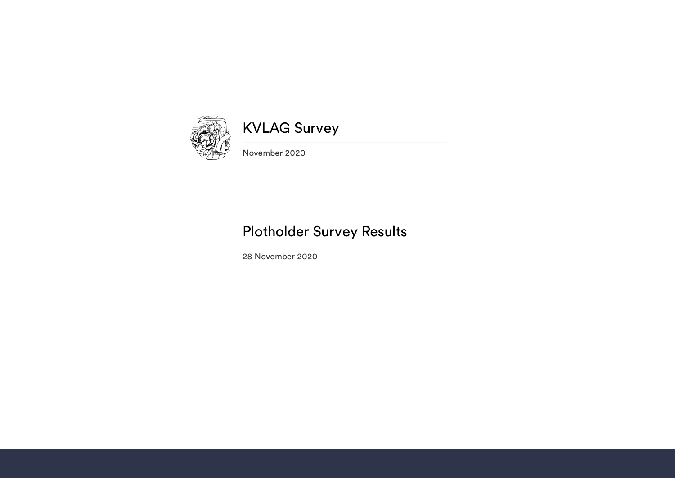

# KVLAG Survey

November 2020

## Plotholder Survey Results

28 November 2020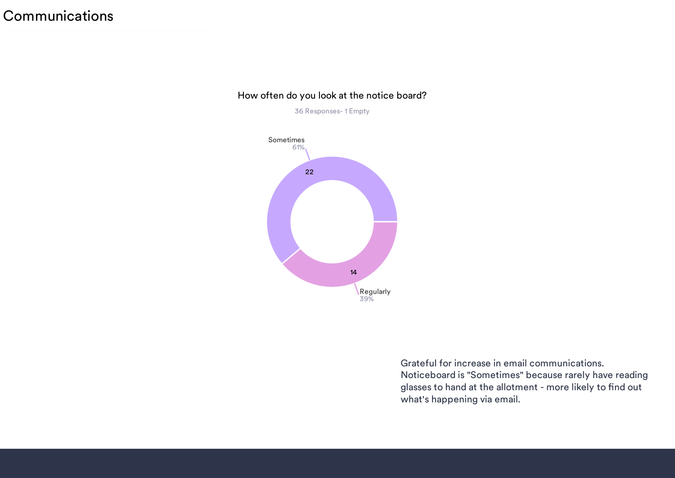#### How often do you look at the notice board?

36 Responses- 1 Empty



Grateful for increase in email communications. Noticeboard is "Sometimes" because rarely have reading glasses to hand at the allotment - more likely to find out what's happening via email.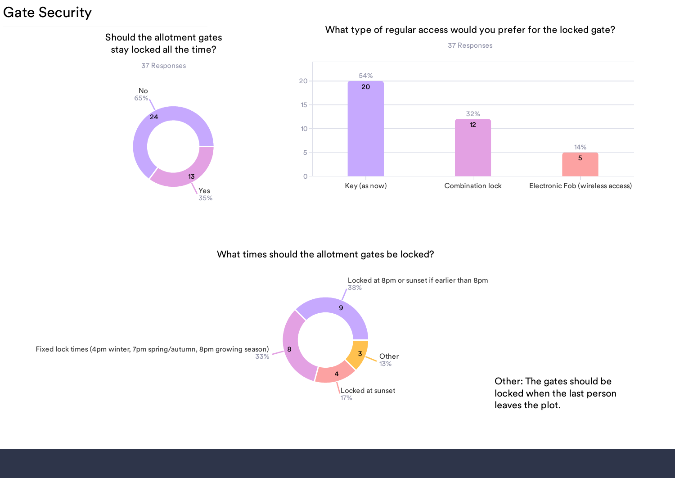## Gate Security



#### What times should the allotment gates be locked?



Other: The gates should be locked when the last person leaves the plot.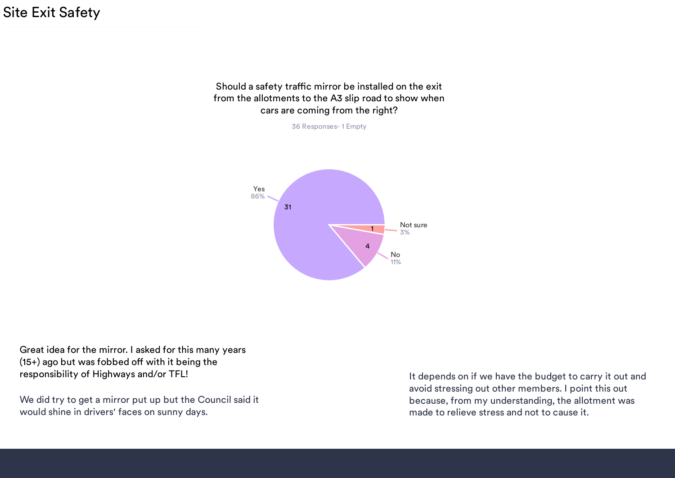Site Exit Safety

#### Should a safety traffic mirror be installed on the exit from the allotments to the A3 slip road to show when cars are coming from the right?



Great idea for the mirror. I asked for this many years  $(15+)$  ago but was fobbed off with it being the responsibility of Highways and/or TFL! It depends on if we have the budget to carry it out and

We did try to get a mirror put up but the Council said it would shine in drivers' faces on sunny days.

avoid stressing out other members. I point this out because, from my understanding, the allotment was made to relieve stress and not to cause it.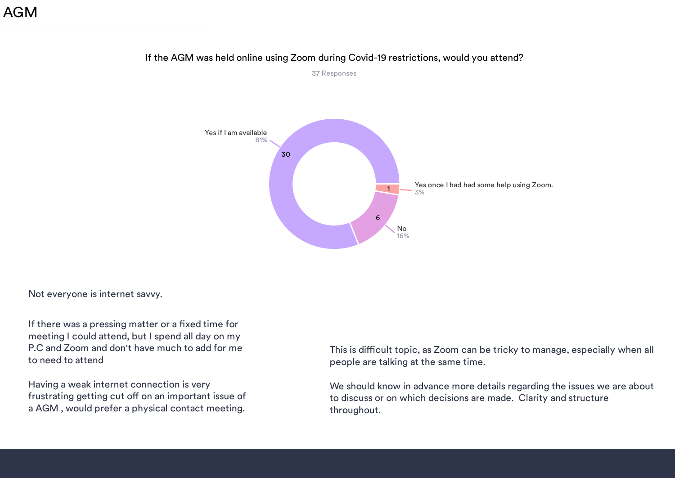### AGM



### If the AGM was held online using Zoom during Covid-19 restrictions, would you attend? 37 Responses

Not everyone is internet savvy.

If there was a pressing matter or a fixed time for meeting I could attend, but I spend all day on my P.C and Zoom and don't have much to add for me to need to attend

Having a weak internet connection is very frustrating getting cut off on an important issue of a AGM , would prefer a physical contact meeting.

This is difficult topic, as Zoom can be tricky to manage, especially when all people are talking at the same time.

We should know in advance more details regarding the issues we are about to discuss or on which decisions are made. Clarity and structure throughout.